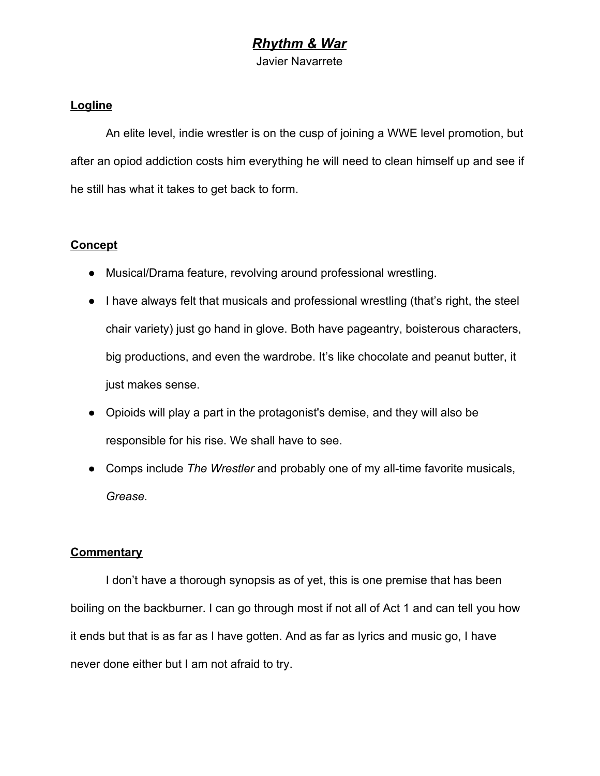## *Rhythm & War*

Javier Navarrete

#### **Logline**

An elite level, indie wrestler is on the cusp of joining a WWE level promotion, but after an opiod addiction costs him everything he will need to clean himself up and see if he still has what it takes to get back to form.

#### **Concept**

- Musical/Drama feature, revolving around professional wrestling.
- I have always felt that musicals and professional wrestling (that's right, the steel chair variety) just go hand in glove. Both have pageantry, boisterous characters, big productions, and even the wardrobe. It's like chocolate and peanut butter, it just makes sense.
- Opioids will play a part in the protagonist's demise, and they will also be responsible for his rise. We shall have to see.
- Comps include *The Wrestler* and probably one of my all-time favorite musicals, *Grease.*

#### **Commentary**

I don't have a thorough synopsis as of yet, this is one premise that has been boiling on the backburner. I can go through most if not all of Act 1 and can tell you how it ends but that is as far as I have gotten. And as far as lyrics and music go, I have never done either but I am not afraid to try.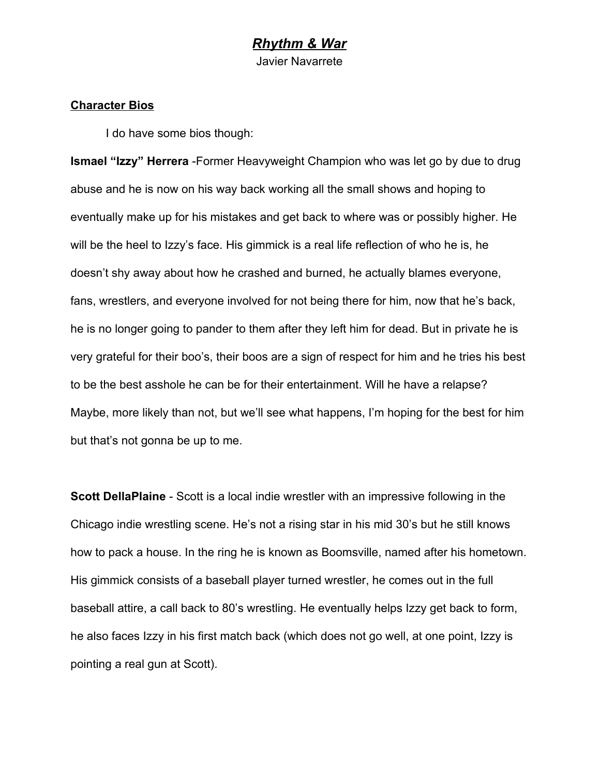### *Rhythm & War* Javier Navarrete

#### **Character Bios**

I do have some bios though:

**Ismael "Izzy" Herrera** -Former Heavyweight Champion who was let go by due to drug abuse and he is now on his way back working all the small shows and hoping to eventually make up for his mistakes and get back to where was or possibly higher. He will be the heel to Izzy's face. His gimmick is a real life reflection of who he is, he doesn't shy away about how he crashed and burned, he actually blames everyone, fans, wrestlers, and everyone involved for not being there for him, now that he's back, he is no longer going to pander to them after they left him for dead. But in private he is very grateful for their boo's, their boos are a sign of respect for him and he tries his best to be the best asshole he can be for their entertainment. Will he have a relapse? Maybe, more likely than not, but we'll see what happens, I'm hoping for the best for him but that's not gonna be up to me.

**Scott DellaPlaine** - Scott is a local indie wrestler with an impressive following in the Chicago indie wrestling scene. He's not a rising star in his mid 30's but he still knows how to pack a house. In the ring he is known as Boomsville, named after his hometown. His gimmick consists of a baseball player turned wrestler, he comes out in the full baseball attire, a call back to 80's wrestling. He eventually helps Izzy get back to form, he also faces Izzy in his first match back (which does not go well, at one point, Izzy is pointing a real gun at Scott).